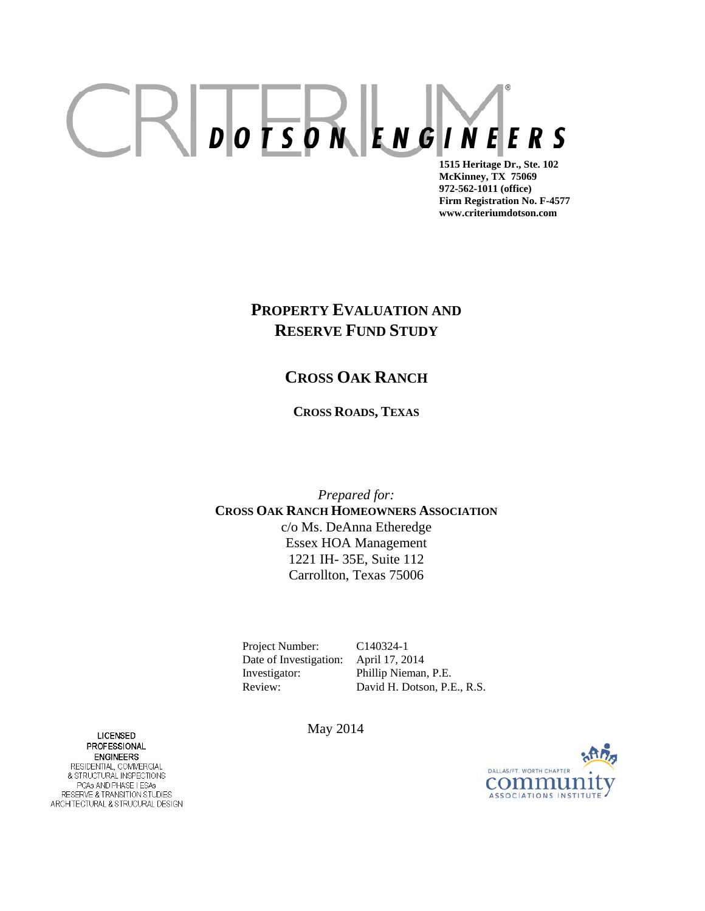# $CRD$ <sub>D</sub> $PSD$ <sup>N</sup> $ENG$  $N$  $F$  $F$   $S$ **1515 Heritage Dr., Ste. 102**

 **McKinney, TX 75069 972-562-1011 (office) Firm Registration No. F-4577 www.criteriumdotson.com** 

# **PROPERTY EVALUATION AND RESERVE FUND STUDY**

# **CROSS OAK RANCH**

**CROSS ROADS, TEXAS**

*Prepared for:* **CROSS OAK RANCH HOMEOWNERS ASSOCIATION** c/o Ms. DeAnna Etheredge Essex HOA Management 1221 IH- 35E, Suite 112 Carrollton, Texas 75006

Project Number: C140324-1 Date of Investigation: April 17, 2014 Investigator: Phillip Nieman, P.E.

Review: David H. Dotson, P.E., R.S.

LICENSED May 2014 **PROFESSIONAL ENGINEERS** RESIDENTIAL, COMMERCIAL & STRUCTURAL INSPECTIONS PCAs AND PHASE I ESAs RESERVE & TRANSITION STUDIES<br>ARCHITECTURAL & STRUCURAL DESIGN

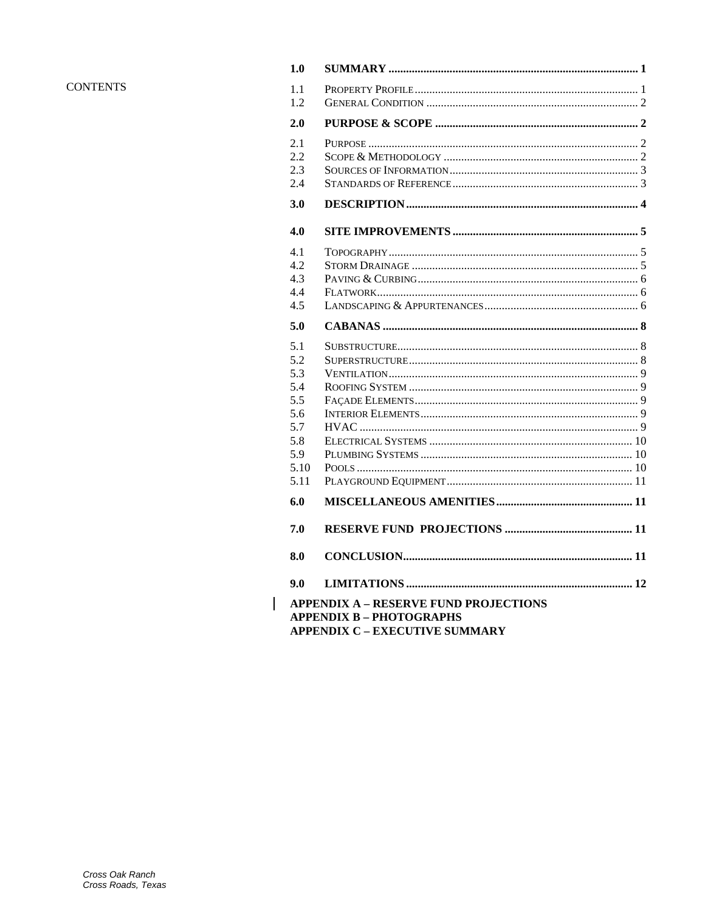### **CONTENTS**

| 1.0                                                                                                                      |  |  |
|--------------------------------------------------------------------------------------------------------------------------|--|--|
| 1.1<br>1.2                                                                                                               |  |  |
| 2.0                                                                                                                      |  |  |
| 2.1<br>2.2<br>2.3<br>2.4                                                                                                 |  |  |
| 3.0                                                                                                                      |  |  |
| 4.0                                                                                                                      |  |  |
| 4.1<br>4.2<br>4.3<br>4.4<br>4.5                                                                                          |  |  |
| 5.0                                                                                                                      |  |  |
| 5.1<br>5.2<br>5.3<br>5.4<br>5.5<br>5.6<br>5.7<br>5.8<br>5.9<br>5.10<br>5.11<br>6.0                                       |  |  |
| 7.0                                                                                                                      |  |  |
| 8.0                                                                                                                      |  |  |
| 9.0                                                                                                                      |  |  |
| <b>APPENDIX A - RESERVE FUND PROJECTIONS</b><br><b>APPENDIX B - PHOTOGRAPHS</b><br><b>APPENDIX C - EXECUTIVE SUMMARY</b> |  |  |

 $\overline{\phantom{a}}$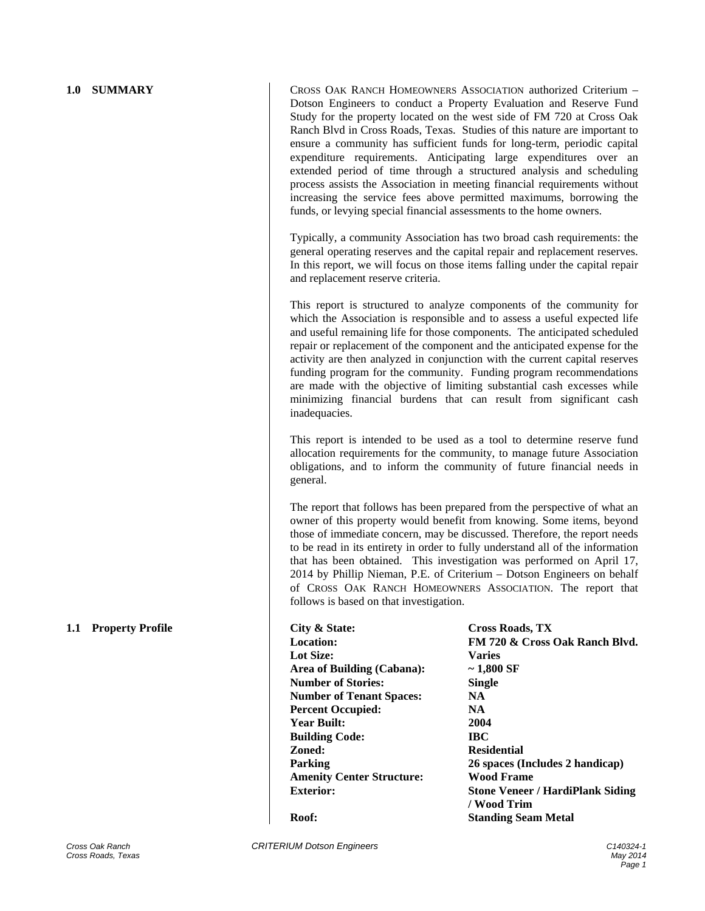**1.0 SUMMARY CROSS OAK RANCH HOMEOWNERS ASSOCIATION authorized Criterium –** Dotson Engineers to conduct a Property Evaluation and Reserve Fund Study for the property located on the west side of FM 720 at Cross Oak Ranch Blvd in Cross Roads, Texas. Studies of this nature are important to ensure a community has sufficient funds for long-term, periodic capital expenditure requirements. Anticipating large expenditures over an extended period of time through a structured analysis and scheduling process assists the Association in meeting financial requirements without increasing the service fees above permitted maximums, borrowing the funds, or levying special financial assessments to the home owners.

> Typically, a community Association has two broad cash requirements: the general operating reserves and the capital repair and replacement reserves. In this report, we will focus on those items falling under the capital repair and replacement reserve criteria.

> This report is structured to analyze components of the community for which the Association is responsible and to assess a useful expected life and useful remaining life for those components. The anticipated scheduled repair or replacement of the component and the anticipated expense for the activity are then analyzed in conjunction with the current capital reserves funding program for the community. Funding program recommendations are made with the objective of limiting substantial cash excesses while minimizing financial burdens that can result from significant cash inadequacies.

> This report is intended to be used as a tool to determine reserve fund allocation requirements for the community, to manage future Association obligations, and to inform the community of future financial needs in general.

> The report that follows has been prepared from the perspective of what an owner of this property would benefit from knowing. Some items, beyond those of immediate concern, may be discussed. Therefore, the report needs to be read in its entirety in order to fully understand all of the information that has been obtained. This investigation was performed on April 17, 2014 by Phillip Nieman, P.E. of Criterium – Dotson Engineers on behalf of CROSS OAK RANCH HOMEOWNERS ASSOCIATION. The report that follows is based on that investigation.

**1.1 Property Profile City & State: Cross Roads, TX Lot Size: Varies Area of Building (Cabana): ~ 1,800 SF Number of Stories: Single Number of Tenant Spaces: NA Percent Occupied: NA Year Built: 2004 Building Code: IBC Zoned: Residential Amenity Center Structure: Wood Frame** 

**Location: FM 720 & Cross Oak Ranch Blvd. Parking 26 spaces (Includes 2 handicap) Exterior: Stone Veneer / HardiPlank Siding / Wood Trim Roof: Standing Seam Metal**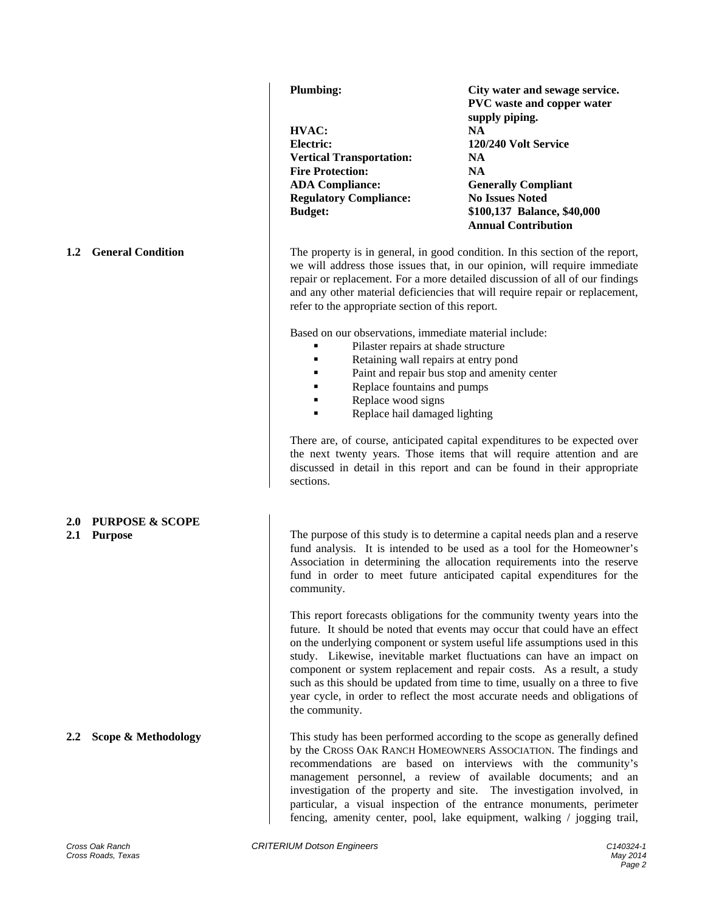### **2.0 PURPOSE & SCOPE**

**HVAC: NA Electric: 120/240 Volt Service Vertical Transportation: NA Fire Protection: NA ADA Compliance: Generally Compliant Regulatory Compliance: No Issues Noted** 

**Plumbing: City water and sewage service. PVC waste and copper water supply piping. Budget: \$100,137 Balance, \$40,000 Annual Contribution** 

**1.2 General Condition** The property is in general, in good condition. In this section of the report, we will address those issues that, in our opinion, will require immediate repair or replacement. For a more detailed discussion of all of our findings and any other material deficiencies that will require repair or replacement, refer to the appropriate section of this report.

Based on our observations, immediate material include:

- Pilaster repairs at shade structure
- Retaining wall repairs at entry pond
- **Paint and repair bus stop and amenity center**
- Replace fountains and pumps
- **Replace wood signs**
- Replace hail damaged lighting

There are, of course, anticipated capital expenditures to be expected over the next twenty years. Those items that will require attention and are discussed in detail in this report and can be found in their appropriate sections.

**2.1 Purpose 2.1 Purpose 2.1 Purpose 2.1 Purpose of this study is to determine a capital needs plan and a reserve** fund analysis. It is intended to be used as a tool for the Homeowner's Association in determining the allocation requirements into the reserve fund in order to meet future anticipated capital expenditures for the community.

> This report forecasts obligations for the community twenty years into the future. It should be noted that events may occur that could have an effect on the underlying component or system useful life assumptions used in this study. Likewise, inevitable market fluctuations can have an impact on component or system replacement and repair costs. As a result, a study such as this should be updated from time to time, usually on a three to five year cycle, in order to reflect the most accurate needs and obligations of the community.

**2.2 Scope & Methodology** This study has been performed according to the scope as generally defined by the CROSS OAK RANCH HOMEOWNERS ASSOCIATION. The findings and recommendations are based on interviews with the community's management personnel, a review of available documents; and an investigation of the property and site. The investigation involved, in particular, a visual inspection of the entrance monuments, perimeter fencing, amenity center, pool, lake equipment, walking / jogging trail,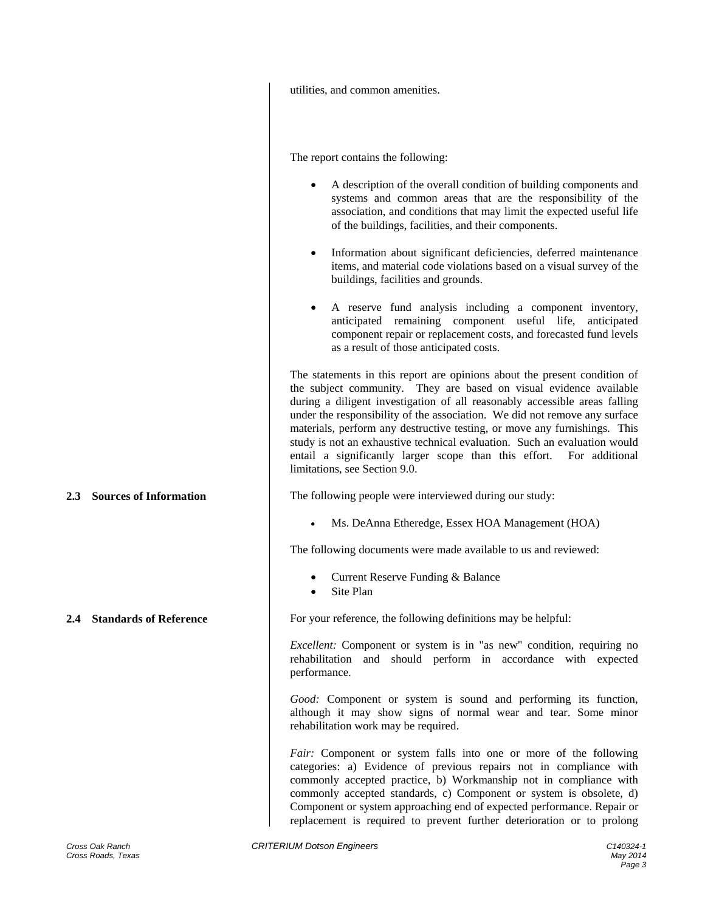|                            | utilities, and common amenities.                                                                                                                                                                                                                                                                                                                                                                                                                                                                                                                                               |
|----------------------------|--------------------------------------------------------------------------------------------------------------------------------------------------------------------------------------------------------------------------------------------------------------------------------------------------------------------------------------------------------------------------------------------------------------------------------------------------------------------------------------------------------------------------------------------------------------------------------|
|                            | The report contains the following:                                                                                                                                                                                                                                                                                                                                                                                                                                                                                                                                             |
|                            | A description of the overall condition of building components and<br>systems and common areas that are the responsibility of the<br>association, and conditions that may limit the expected useful life<br>of the buildings, facilities, and their components.                                                                                                                                                                                                                                                                                                                 |
|                            | Information about significant deficiencies, deferred maintenance<br>٠<br>items, and material code violations based on a visual survey of the<br>buildings, facilities and grounds.                                                                                                                                                                                                                                                                                                                                                                                             |
|                            | A reserve fund analysis including a component inventory,<br>anticipated remaining component useful life,<br>anticipated<br>component repair or replacement costs, and forecasted fund levels<br>as a result of those anticipated costs.                                                                                                                                                                                                                                                                                                                                        |
|                            | The statements in this report are opinions about the present condition of<br>the subject community. They are based on visual evidence available<br>during a diligent investigation of all reasonably accessible areas falling<br>under the responsibility of the association. We did not remove any surface<br>materials, perform any destructive testing, or move any furnishings. This<br>study is not an exhaustive technical evaluation. Such an evaluation would<br>entail a significantly larger scope than this effort. For additional<br>limitations, see Section 9.0. |
| 2.3 Sources of Information | The following people were interviewed during our study:                                                                                                                                                                                                                                                                                                                                                                                                                                                                                                                        |
|                            | Ms. DeAnna Etheredge, Essex HOA Management (HOA)<br>$\bullet$                                                                                                                                                                                                                                                                                                                                                                                                                                                                                                                  |
|                            | The following documents were made available to us and reviewed:                                                                                                                                                                                                                                                                                                                                                                                                                                                                                                                |
|                            | Current Reserve Funding & Balance<br>Site Plan                                                                                                                                                                                                                                                                                                                                                                                                                                                                                                                                 |
| 2.4 Standards of Reference | For your reference, the following definitions may be helpful:                                                                                                                                                                                                                                                                                                                                                                                                                                                                                                                  |
|                            | <i>Excellent:</i> Component or system is in "as new" condition, requiring no<br>rehabilitation and should perform in accordance with expected<br>performance.                                                                                                                                                                                                                                                                                                                                                                                                                  |
|                            | Good: Component or system is sound and performing its function,<br>although it may show signs of normal wear and tear. Some minor<br>rehabilitation work may be required.                                                                                                                                                                                                                                                                                                                                                                                                      |
|                            | Fair: Component or system falls into one or more of the following<br>categories: a) Evidence of previous repairs not in compliance with<br>commonly accepted practice, b) Workmanship not in compliance with<br>commonly accepted standards, c) Component or system is obsolete, d)<br>Component or system approaching end of expected performance. Repair or<br>replacement is required to prevent further deterioration or to prolong                                                                                                                                        |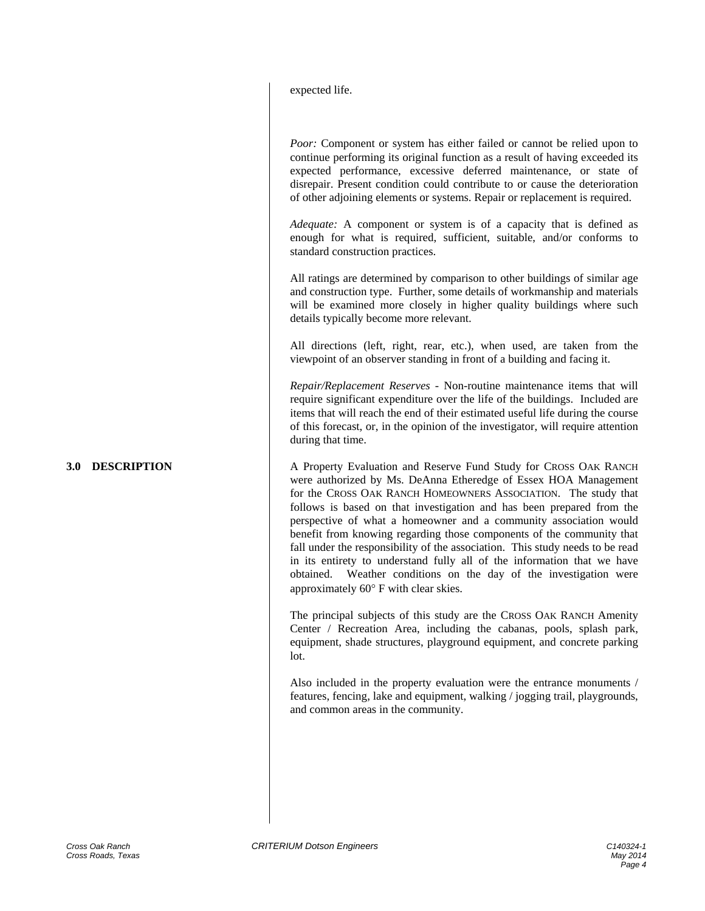| expected life. |
|----------------|
|----------------|

*Poor:* Component or system has either failed or cannot be relied upon to continue performing its original function as a result of having exceeded its expected performance, excessive deferred maintenance, or state of disrepair. Present condition could contribute to or cause the deterioration of other adjoining elements or systems. Repair or replacement is required.

*Adequate:* A component or system is of a capacity that is defined as enough for what is required, sufficient, suitable, and/or conforms to standard construction practices.

All ratings are determined by comparison to other buildings of similar age and construction type. Further, some details of workmanship and materials will be examined more closely in higher quality buildings where such details typically become more relevant.

All directions (left, right, rear, etc.), when used, are taken from the viewpoint of an observer standing in front of a building and facing it.

*Repair/Replacement Reserves -* Non-routine maintenance items that will require significant expenditure over the life of the buildings. Included are items that will reach the end of their estimated useful life during the course of this forecast, or, in the opinion of the investigator, will require attention during that time.

**3.0 DESCRIPTION** A Property Evaluation and Reserve Fund Study for CROSS OAK RANCH were authorized by Ms. DeAnna Etheredge of Essex HOA Management for the CROSS OAK RANCH HOMEOWNERS ASSOCIATION. The study that follows is based on that investigation and has been prepared from the perspective of what a homeowner and a community association would benefit from knowing regarding those components of the community that fall under the responsibility of the association. This study needs to be read in its entirety to understand fully all of the information that we have obtained. Weather conditions on the day of the investigation were approximately  $60^{\circ}$  F with clear skies.

> The principal subjects of this study are the CROSS OAK RANCH Amenity Center / Recreation Area, including the cabanas, pools, splash park, equipment, shade structures, playground equipment, and concrete parking lot.

> Also included in the property evaluation were the entrance monuments / features, fencing, lake and equipment, walking / jogging trail, playgrounds, and common areas in the community.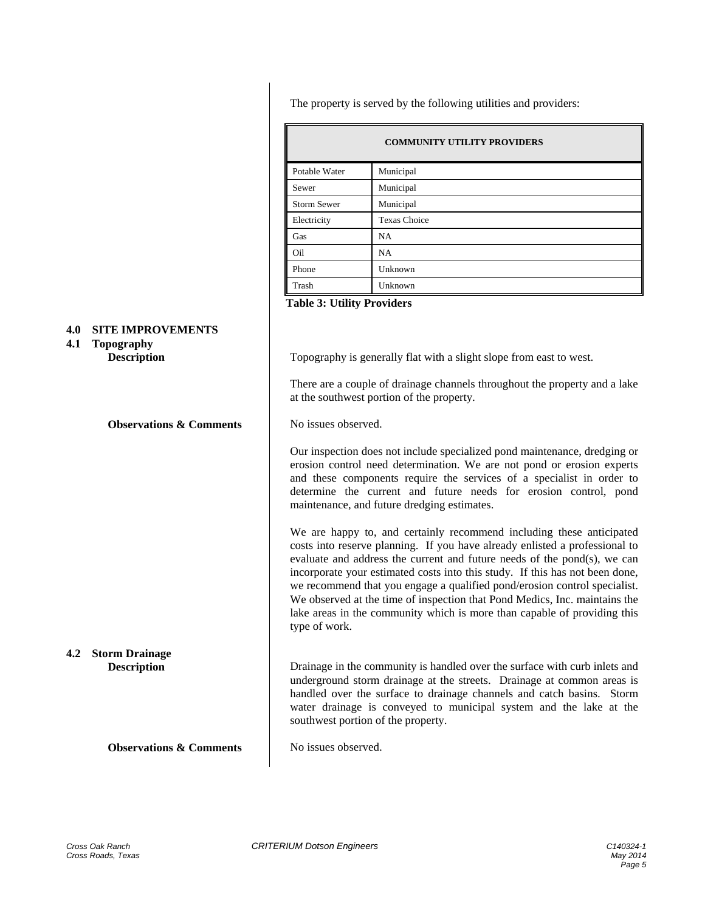The property is served by the following utilities and providers:

| <b>COMMUNITY UTILITY PROVIDERS</b> |                     |  |
|------------------------------------|---------------------|--|
| Potable Water                      | Municipal           |  |
| Sewer                              | Municipal           |  |
| <b>Storm Sewer</b>                 | Municipal           |  |
| Electricity                        | <b>Texas Choice</b> |  |
| Gas                                | NA                  |  |
| Oil                                | <b>NA</b>           |  |
| Phone                              | Unknown             |  |
| Trash                              | Unknown             |  |

**Table 3: Utility Providers** 

### **4.0 SITE IMPROVEMENTS**

### **4.1 Topography**

**Observations & Comments** No issues observed.

**4.2 Storm Drainage** 

**Observations & Comments** No issues observed.

**Description** Topography is generally flat with a slight slope from east to west.

There are a couple of drainage channels throughout the property and a lake at the southwest portion of the property.

Our inspection does not include specialized pond maintenance, dredging or erosion control need determination. We are not pond or erosion experts and these components require the services of a specialist in order to determine the current and future needs for erosion control, pond maintenance, and future dredging estimates.

We are happy to, and certainly recommend including these anticipated costs into reserve planning. If you have already enlisted a professional to evaluate and address the current and future needs of the pond(s), we can incorporate your estimated costs into this study. If this has not been done, we recommend that you engage a qualified pond/erosion control specialist. We observed at the time of inspection that Pond Medics, Inc. maintains the lake areas in the community which is more than capable of providing this type of work.

**Description** Drainage in the community is handled over the surface with curb inlets and underground storm drainage at the streets. Drainage at common areas is handled over the surface to drainage channels and catch basins. Storm water drainage is conveyed to municipal system and the lake at the southwest portion of the property.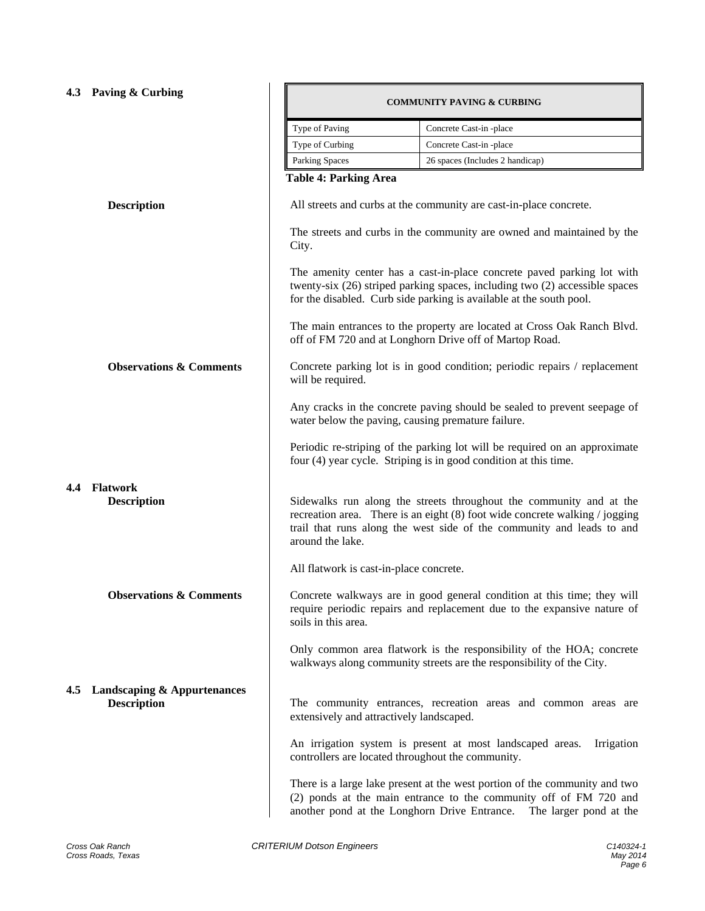|     | 4.3 Paving & Curbing                                  | <b>COMMUNITY PAVING &amp; CURBING</b>                                                                                          |                                                                                                                                                                                                                              |  |
|-----|-------------------------------------------------------|--------------------------------------------------------------------------------------------------------------------------------|------------------------------------------------------------------------------------------------------------------------------------------------------------------------------------------------------------------------------|--|
|     |                                                       | Type of Paving                                                                                                                 | Concrete Cast-in -place                                                                                                                                                                                                      |  |
|     |                                                       | Type of Curbing                                                                                                                | Concrete Cast-in -place                                                                                                                                                                                                      |  |
|     |                                                       | Parking Spaces                                                                                                                 | 26 spaces (Includes 2 handicap)                                                                                                                                                                                              |  |
|     |                                                       | <b>Table 4: Parking Area</b>                                                                                                   |                                                                                                                                                                                                                              |  |
|     | <b>Description</b>                                    | All streets and curbs at the community are cast-in-place concrete.                                                             |                                                                                                                                                                                                                              |  |
|     |                                                       | City.                                                                                                                          | The streets and curbs in the community are owned and maintained by the                                                                                                                                                       |  |
|     |                                                       |                                                                                                                                | The amenity center has a cast-in-place concrete paved parking lot with<br>twenty-six (26) striped parking spaces, including two (2) accessible spaces<br>for the disabled. Curb side parking is available at the south pool. |  |
|     |                                                       |                                                                                                                                | The main entrances to the property are located at Cross Oak Ranch Blvd.<br>off of FM 720 and at Longhorn Drive off of Martop Road.                                                                                           |  |
|     | <b>Observations &amp; Comments</b>                    | will be required.                                                                                                              | Concrete parking lot is in good condition; periodic repairs / replacement                                                                                                                                                    |  |
|     |                                                       | Any cracks in the concrete paving should be sealed to prevent seepage of<br>water below the paving, causing premature failure. |                                                                                                                                                                                                                              |  |
|     |                                                       |                                                                                                                                | Periodic re-striping of the parking lot will be required on an approximate<br>four (4) year cycle. Striping is in good condition at this time.                                                                               |  |
| 4.4 | <b>Flatwork</b><br><b>Description</b>                 | around the lake.                                                                                                               | Sidewalks run along the streets throughout the community and at the<br>recreation area. There is an eight (8) foot wide concrete walking / jogging<br>trail that runs along the west side of the community and leads to and  |  |
|     |                                                       | All flatwork is cast-in-place concrete.                                                                                        |                                                                                                                                                                                                                              |  |
|     | <b>Observations &amp; Comments</b>                    | soils in this area.                                                                                                            | Concrete walkways are in good general condition at this time; they will<br>require periodic repairs and replacement due to the expansive nature of                                                                           |  |
|     |                                                       |                                                                                                                                | Only common area flatwork is the responsibility of the HOA; concrete<br>walkways along community streets are the responsibility of the City.                                                                                 |  |
|     | 4.5 Landscaping & Appurtenances<br><b>Description</b> | extensively and attractively landscaped.                                                                                       | The community entrances, recreation areas and common areas are                                                                                                                                                               |  |
|     |                                                       |                                                                                                                                | An irrigation system is present at most landscaped areas.<br>Irrigation<br>controllers are located throughout the community.                                                                                                 |  |
|     |                                                       |                                                                                                                                | There is a large lake present at the west portion of the community and two<br>(2) ponds at the main entrance to the community off of FM 720 and<br>another pond at the Longhorn Drive Entrance. The larger pond at the       |  |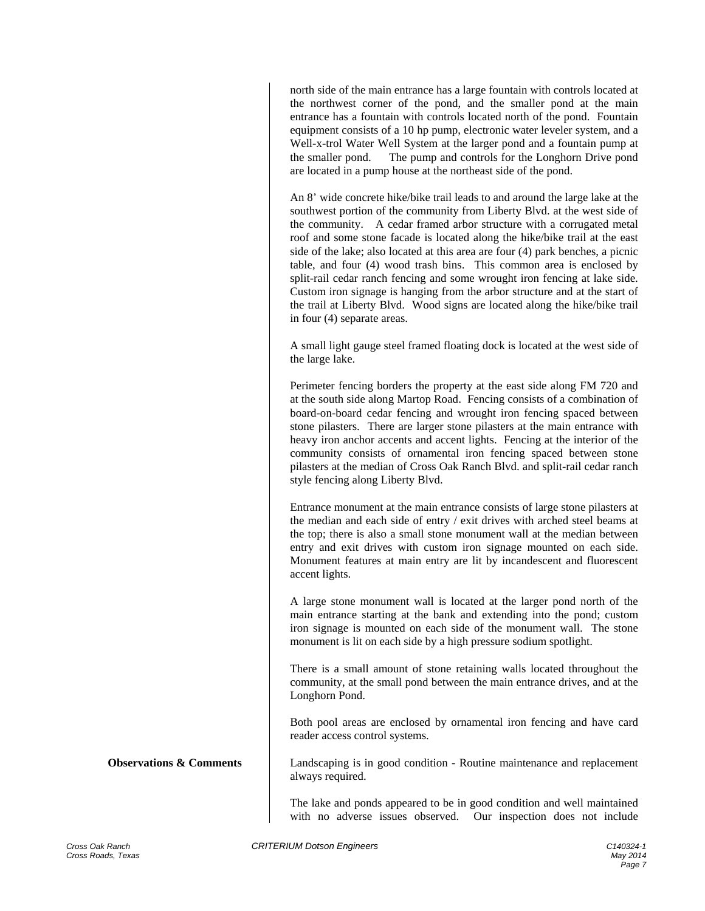north side of the main entrance has a large fountain with controls located at the northwest corner of the pond, and the smaller pond at the main entrance has a fountain with controls located north of the pond. Fountain equipment consists of a 10 hp pump, electronic water leveler system, and a Well-x-trol Water Well System at the larger pond and a fountain pump at the smaller pond. The pump and controls for the Longhorn Drive pond are located in a pump house at the northeast side of the pond.

An 8' wide concrete hike/bike trail leads to and around the large lake at the southwest portion of the community from Liberty Blvd. at the west side of the community. A cedar framed arbor structure with a corrugated metal roof and some stone facade is located along the hike/bike trail at the east side of the lake; also located at this area are four (4) park benches, a picnic table, and four (4) wood trash bins. This common area is enclosed by split-rail cedar ranch fencing and some wrought iron fencing at lake side. Custom iron signage is hanging from the arbor structure and at the start of the trail at Liberty Blvd. Wood signs are located along the hike/bike trail in four (4) separate areas.

A small light gauge steel framed floating dock is located at the west side of the large lake.

Perimeter fencing borders the property at the east side along FM 720 and at the south side along Martop Road. Fencing consists of a combination of board-on-board cedar fencing and wrought iron fencing spaced between stone pilasters. There are larger stone pilasters at the main entrance with heavy iron anchor accents and accent lights. Fencing at the interior of the community consists of ornamental iron fencing spaced between stone pilasters at the median of Cross Oak Ranch Blvd. and split-rail cedar ranch style fencing along Liberty Blvd.

Entrance monument at the main entrance consists of large stone pilasters at the median and each side of entry / exit drives with arched steel beams at the top; there is also a small stone monument wall at the median between entry and exit drives with custom iron signage mounted on each side. Monument features at main entry are lit by incandescent and fluorescent accent lights.

A large stone monument wall is located at the larger pond north of the main entrance starting at the bank and extending into the pond; custom iron signage is mounted on each side of the monument wall. The stone monument is lit on each side by a high pressure sodium spotlight.

There is a small amount of stone retaining walls located throughout the community, at the small pond between the main entrance drives, and at the Longhorn Pond.

Both pool areas are enclosed by ornamental iron fencing and have card reader access control systems.

**Observations & Comments** Landscaping is in good condition - Routine maintenance and replacement always required.

> The lake and ponds appeared to be in good condition and well maintained with no adverse issues observed. Our inspection does not include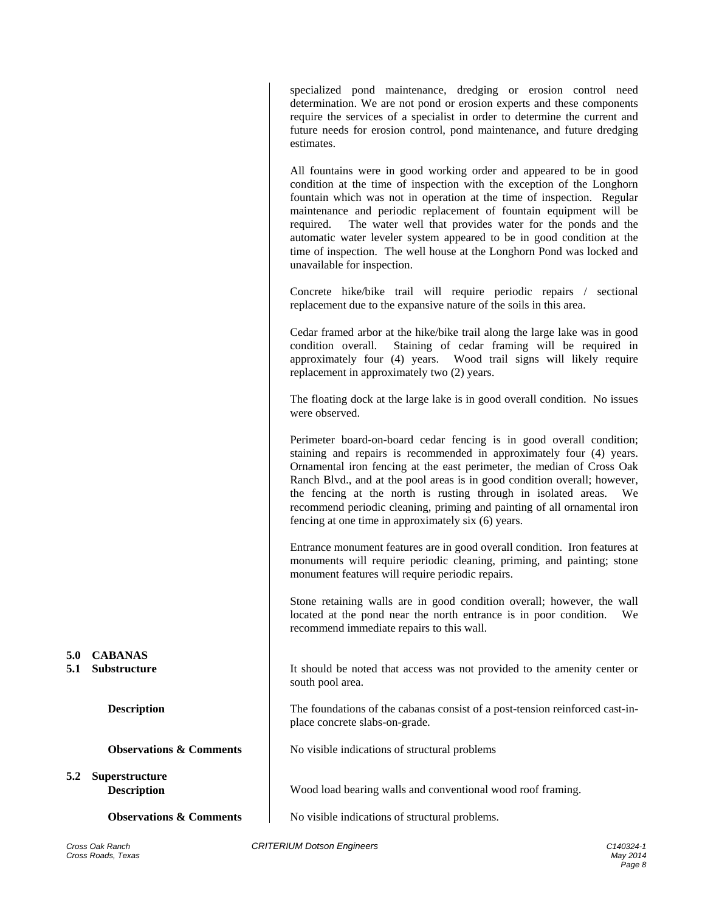All fountains were in good working order and appeared to be in good condition at the time of inspection with the exception of the Longhorn fountain which was not in operation at the time of inspection. Regular maintenance and periodic replacement of fountain equipment will be required. The water well that provides water for the ponds and the automatic water leveler system appeared to be in good condition at the time of inspection. The well house at the Longhorn Pond was locked and unavailable for inspection. Concrete hike/bike trail will require periodic repairs / sectional replacement due to the expansive nature of the soils in this area. Cedar framed arbor at the hike/bike trail along the large lake was in good condition overall. Staining of cedar framing will be required in approximately four (4) years. Wood trail signs will likely require replacement in approximately two (2) years. The floating dock at the large lake is in good overall condition. No issues were observed. Perimeter board-on-board cedar fencing is in good overall condition; staining and repairs is recommended in approximately four (4) years. Ornamental iron fencing at the east perimeter, the median of Cross Oak Ranch Blvd., and at the pool areas is in good condition overall; however, the fencing at the north is rusting through in isolated areas. We recommend periodic cleaning, priming and painting of all ornamental iron fencing at one time in approximately six (6) years. Entrance monument features are in good overall condition. Iron features at monuments will require periodic cleaning, priming, and painting; stone monument features will require periodic repairs. Stone retaining walls are in good condition overall; however, the wall located at the pond near the north entrance is in poor condition. We recommend immediate repairs to this wall. **5.1 Substructure It** should be noted that access was not provided to the amenity center or south pool area. **Description** The foundations of the cabanas consist of a post-tension reinforced cast-inplace concrete slabs-on-grade. **Observations & Comments** No visible indications of structural problems **Description** Wood load bearing walls and conventional wood roof framing. **Observations & Comments** No visible indications of structural problems.

estimates.

specialized pond maintenance, dredging or erosion control need determination. We are not pond or erosion experts and these components require the services of a specialist in order to determine the current and future needs for erosion control, pond maintenance, and future dredging

- **5.0 CABANAS**
- 

**5.2 Superstructure**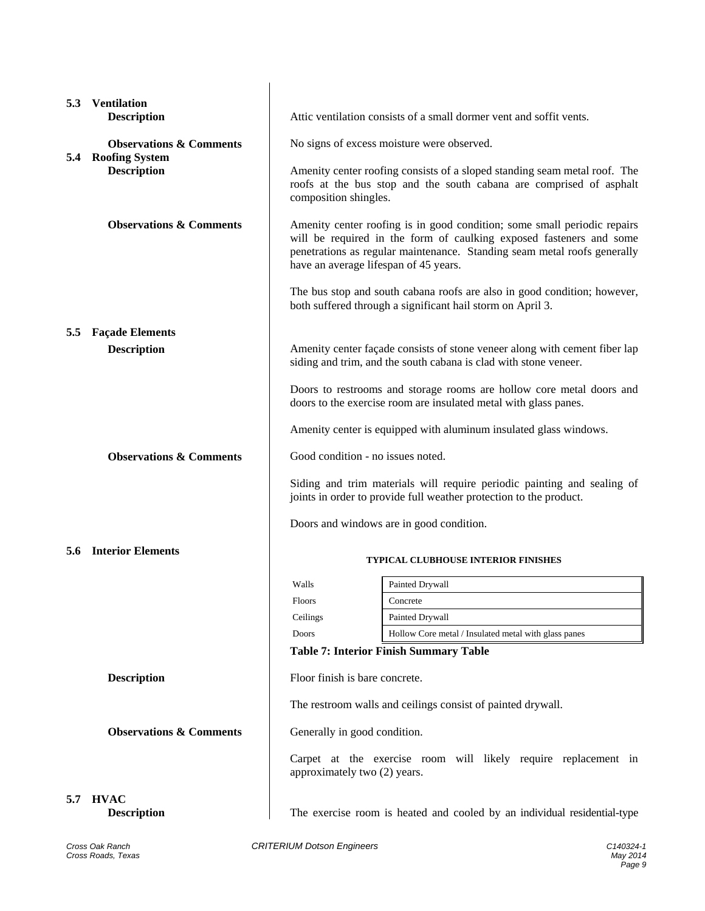| 5.3           | <b>Ventilation</b><br><b>Description</b>                    | Attic ventilation consists of a small dormer vent and soffit vents.                                                                            |                                                                                                                                                                                                                             |  |
|---------------|-------------------------------------------------------------|------------------------------------------------------------------------------------------------------------------------------------------------|-----------------------------------------------------------------------------------------------------------------------------------------------------------------------------------------------------------------------------|--|
|               | <b>Observations &amp; Comments</b><br><b>Roofing System</b> | No signs of excess moisture were observed.                                                                                                     |                                                                                                                                                                                                                             |  |
| 5.4           |                                                             |                                                                                                                                                |                                                                                                                                                                                                                             |  |
|               | <b>Description</b>                                          | composition shingles.                                                                                                                          | Amenity center roofing consists of a sloped standing seam metal roof. The<br>roofs at the bus stop and the south cabana are comprised of asphalt                                                                            |  |
|               | <b>Observations &amp; Comments</b>                          | have an average lifespan of 45 years.                                                                                                          | Amenity center roofing is in good condition; some small periodic repairs<br>will be required in the form of caulking exposed fasteners and some<br>penetrations as regular maintenance. Standing seam metal roofs generally |  |
|               |                                                             | both suffered through a significant hail storm on April 3.                                                                                     | The bus stop and south cabana roofs are also in good condition; however,                                                                                                                                                    |  |
| $5.5^{\circ}$ | <b>Façade Elements</b>                                      |                                                                                                                                                |                                                                                                                                                                                                                             |  |
|               | <b>Description</b>                                          | Amenity center façade consists of stone veneer along with cement fiber lap<br>siding and trim, and the south cabana is clad with stone veneer. |                                                                                                                                                                                                                             |  |
|               |                                                             | doors to the exercise room are insulated metal with glass panes.                                                                               | Doors to restrooms and storage rooms are hollow core metal doors and                                                                                                                                                        |  |
|               |                                                             | Amenity center is equipped with aluminum insulated glass windows.                                                                              |                                                                                                                                                                                                                             |  |
|               | <b>Observations &amp; Comments</b>                          | Good condition - no issues noted.                                                                                                              |                                                                                                                                                                                                                             |  |
|               |                                                             | joints in order to provide full weather protection to the product.                                                                             | Siding and trim materials will require periodic painting and sealing of                                                                                                                                                     |  |
|               |                                                             | Doors and windows are in good condition.                                                                                                       |                                                                                                                                                                                                                             |  |
|               | <b>5.6 Interior Elements</b>                                |                                                                                                                                                | <b>TYPICAL CLUBHOUSE INTERIOR FINISHES</b>                                                                                                                                                                                  |  |
|               |                                                             | Walls<br>Painted Drywall                                                                                                                       |                                                                                                                                                                                                                             |  |
|               |                                                             | <b>Floors</b><br>Concrete                                                                                                                      |                                                                                                                                                                                                                             |  |
|               |                                                             | Painted Drywall<br>Ceilings                                                                                                                    |                                                                                                                                                                                                                             |  |
|               |                                                             | Doors                                                                                                                                          | Hollow Core metal / Insulated metal with glass panes                                                                                                                                                                        |  |
|               |                                                             | <b>Table 7: Interior Finish Summary Table</b>                                                                                                  |                                                                                                                                                                                                                             |  |
|               | <b>Description</b>                                          | Floor finish is bare concrete.                                                                                                                 |                                                                                                                                                                                                                             |  |
|               |                                                             | The restroom walls and ceilings consist of painted drywall.                                                                                    |                                                                                                                                                                                                                             |  |
|               | <b>Observations &amp; Comments</b>                          | Generally in good condition.                                                                                                                   |                                                                                                                                                                                                                             |  |
|               |                                                             | approximately two (2) years.                                                                                                                   | Carpet at the exercise room will likely require replacement in                                                                                                                                                              |  |
| 5.7           | <b>HVAC</b><br><b>Description</b>                           |                                                                                                                                                | The exercise room is heated and cooled by an individual residential-type                                                                                                                                                    |  |
|               | Cross Oak Ranch<br>Cross Roads, Texas                       | <b>CRITERIUM Dotson Engineers</b>                                                                                                              | C140324-1<br>May 2014<br>Page 9                                                                                                                                                                                             |  |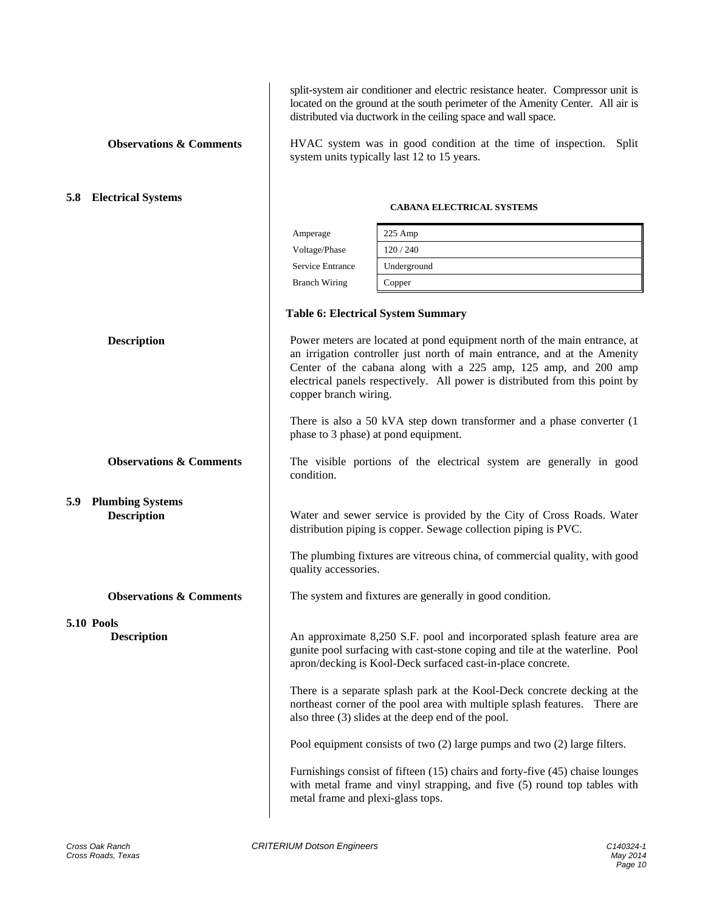split-system air conditioner and electric resistance heater. Compressor unit is located on the ground at the south perimeter of the Amenity Center. All air is distributed via ductwork in the ceiling space and wall space.

**Observations & Comments** HVAC system was in good condition at the time of inspection. Split system units typically last 12 to 15 years.

# **5.8 Electrical Systems**  $\qquad \qquad$  **CABANA ELECTRICAL SYSTEMS**

| Amperage             | $225$ Amp   |
|----------------------|-------------|
| Voltage/Phase        | 120/240     |
| Service Entrance     | Underground |
| <b>Branch Wiring</b> | Copper      |

### **Table 6: Electrical System Summary**

**Description** Power meters are located at pond equipment north of the main entrance, at an irrigation controller just north of main entrance, and at the Amenity Center of the cabana along with a 225 amp, 125 amp, and 200 amp electrical panels respectively. All power is distributed from this point by copper branch wiring.

> There is also a 50 kVA step down transformer and a phase converter (1 phase to 3 phase) at pond equipment.

**Observations & Comments** The visible portions of the electrical system are generally in good condition.

**Description** Water and sewer service is provided by the City of Cross Roads. Water distribution piping is copper. Sewage collection piping is PVC.

> The plumbing fixtures are vitreous china, of commercial quality, with good quality accessories.

**Observations & Comments** The system and fixtures are generally in good condition.

**Description** An approximate 8,250 S.F. pool and incorporated splash feature area are gunite pool surfacing with cast-stone coping and tile at the waterline. Pool apron/decking is Kool-Deck surfaced cast-in-place concrete.

> There is a separate splash park at the Kool-Deck concrete decking at the northeast corner of the pool area with multiple splash features. There are also three (3) slides at the deep end of the pool.

Pool equipment consists of two (2) large pumps and two (2) large filters.

Furnishings consist of fifteen (15) chairs and forty-five (45) chaise lounges with metal frame and vinyl strapping, and five (5) round top tables with metal frame and plexi-glass tops.

**5.9 Plumbing Systems** 

**5.10 Pools**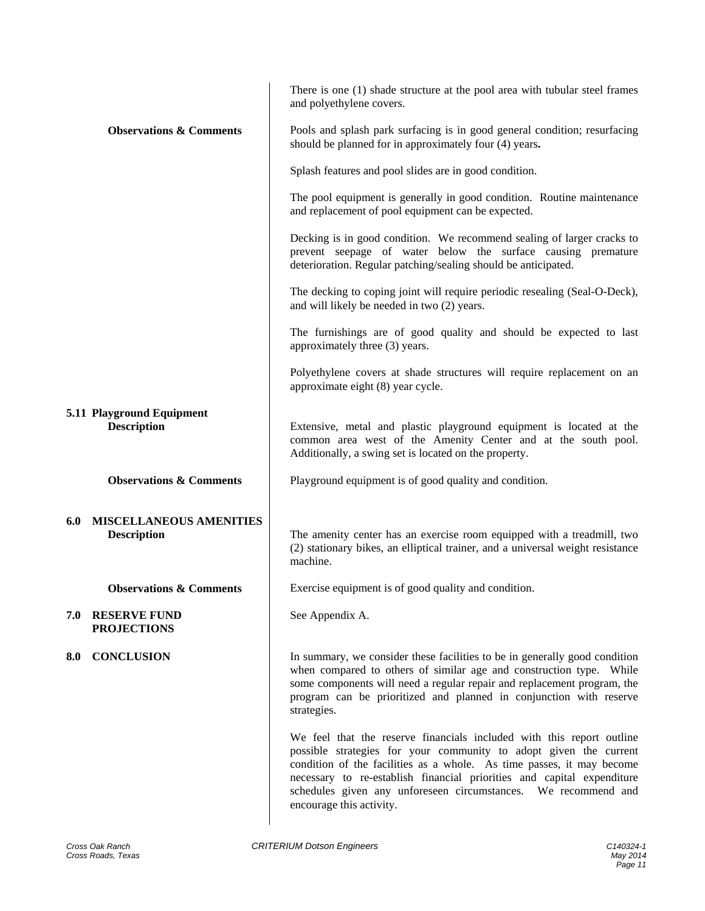| There is one (1) shade structure at the pool area with tubular steel frames<br>and polyethylene covers.                                                                                                                                                                                                                                                                                     |
|---------------------------------------------------------------------------------------------------------------------------------------------------------------------------------------------------------------------------------------------------------------------------------------------------------------------------------------------------------------------------------------------|
| Pools and splash park surfacing is in good general condition; resurfacing<br>should be planned for in approximately four (4) years.                                                                                                                                                                                                                                                         |
| Splash features and pool slides are in good condition.                                                                                                                                                                                                                                                                                                                                      |
| The pool equipment is generally in good condition. Routine maintenance<br>and replacement of pool equipment can be expected.                                                                                                                                                                                                                                                                |
| Decking is in good condition. We recommend sealing of larger cracks to<br>prevent seepage of water below the surface causing premature<br>deterioration. Regular patching/sealing should be anticipated.                                                                                                                                                                                    |
| The decking to coping joint will require periodic resealing (Seal-O-Deck),<br>and will likely be needed in two (2) years.                                                                                                                                                                                                                                                                   |
| The furnishings are of good quality and should be expected to last<br>approximately three (3) years.                                                                                                                                                                                                                                                                                        |
| Polyethylene covers at shade structures will require replacement on an<br>approximate eight (8) year cycle.                                                                                                                                                                                                                                                                                 |
| Extensive, metal and plastic playground equipment is located at the<br>common area west of the Amenity Center and at the south pool.<br>Additionally, a swing set is located on the property.                                                                                                                                                                                               |
| Playground equipment is of good quality and condition.                                                                                                                                                                                                                                                                                                                                      |
| The amenity center has an exercise room equipped with a treadmill, two<br>(2) stationary bikes, an elliptical trainer, and a universal weight resistance<br>machine.                                                                                                                                                                                                                        |
| Exercise equipment is of good quality and condition.                                                                                                                                                                                                                                                                                                                                        |
| See Appendix A.                                                                                                                                                                                                                                                                                                                                                                             |
| In summary, we consider these facilities to be in generally good condition<br>when compared to others of similar age and construction type. While<br>some components will need a regular repair and replacement program, the<br>program can be prioritized and planned in conjunction with reserve<br>strategies.                                                                           |
| We feel that the reserve financials included with this report outline<br>possible strategies for your community to adopt given the current<br>condition of the facilities as a whole. As time passes, it may become<br>necessary to re-establish financial priorities and capital expenditure<br>schedules given any unforeseen circumstances. We recommend and<br>encourage this activity. |
|                                                                                                                                                                                                                                                                                                                                                                                             |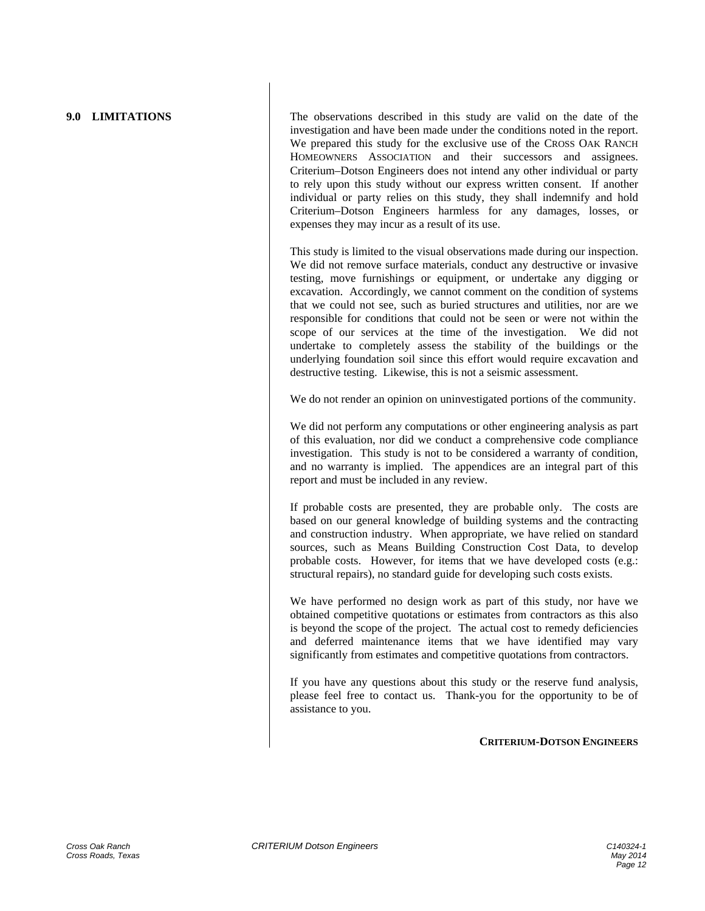**9.0 LIMITATIONS** The observations described in this study are valid on the date of the investigation and have been made under the conditions noted in the report. We prepared this study for the exclusive use of the CROSS OAK RANCH HOMEOWNERS ASSOCIATION and their successors and assignees. Criterium–Dotson Engineers does not intend any other individual or party to rely upon this study without our express written consent. If another individual or party relies on this study, they shall indemnify and hold Criterium–Dotson Engineers harmless for any damages, losses, or expenses they may incur as a result of its use.

> This study is limited to the visual observations made during our inspection. We did not remove surface materials, conduct any destructive or invasive testing, move furnishings or equipment, or undertake any digging or excavation. Accordingly, we cannot comment on the condition of systems that we could not see, such as buried structures and utilities, nor are we responsible for conditions that could not be seen or were not within the scope of our services at the time of the investigation. We did not undertake to completely assess the stability of the buildings or the underlying foundation soil since this effort would require excavation and destructive testing. Likewise, this is not a seismic assessment.

> We do not render an opinion on uninvestigated portions of the community.

We did not perform any computations or other engineering analysis as part of this evaluation, nor did we conduct a comprehensive code compliance investigation. This study is not to be considered a warranty of condition, and no warranty is implied. The appendices are an integral part of this report and must be included in any review.

If probable costs are presented, they are probable only. The costs are based on our general knowledge of building systems and the contracting and construction industry. When appropriate, we have relied on standard sources, such as Means Building Construction Cost Data, to develop probable costs. However, for items that we have developed costs (e.g.: structural repairs), no standard guide for developing such costs exists.

We have performed no design work as part of this study, nor have we obtained competitive quotations or estimates from contractors as this also is beyond the scope of the project. The actual cost to remedy deficiencies and deferred maintenance items that we have identified may vary significantly from estimates and competitive quotations from contractors.

If you have any questions about this study or the reserve fund analysis, please feel free to contact us. Thank-you for the opportunity to be of assistance to you.

### **CRITERIUM-DOTSON ENGINEERS**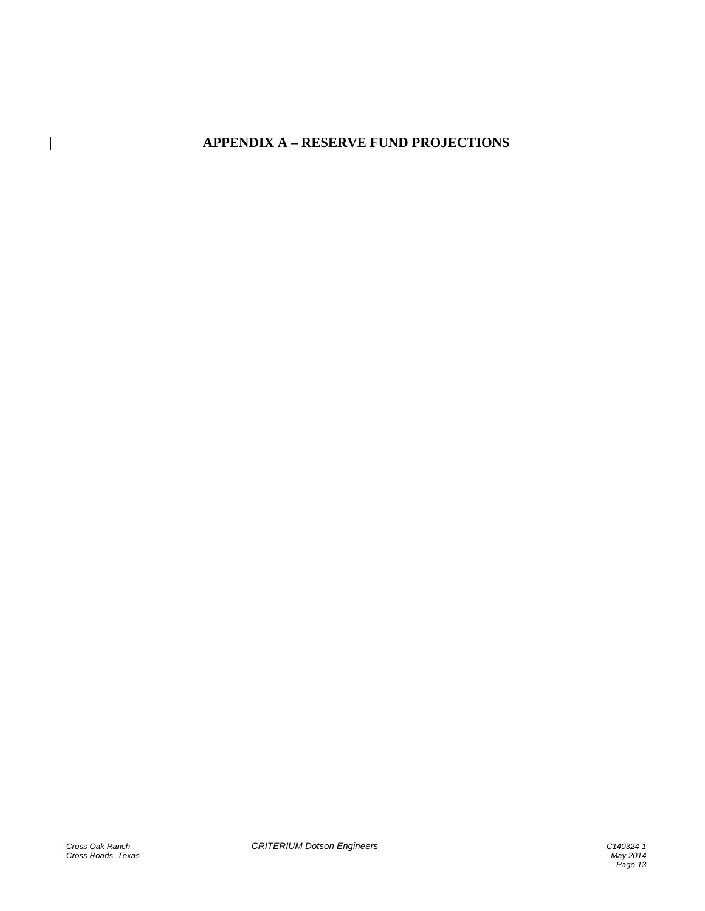# **APPENDIX A – RESERVE FUND PROJECTIONS**

 $\overline{\phantom{a}}$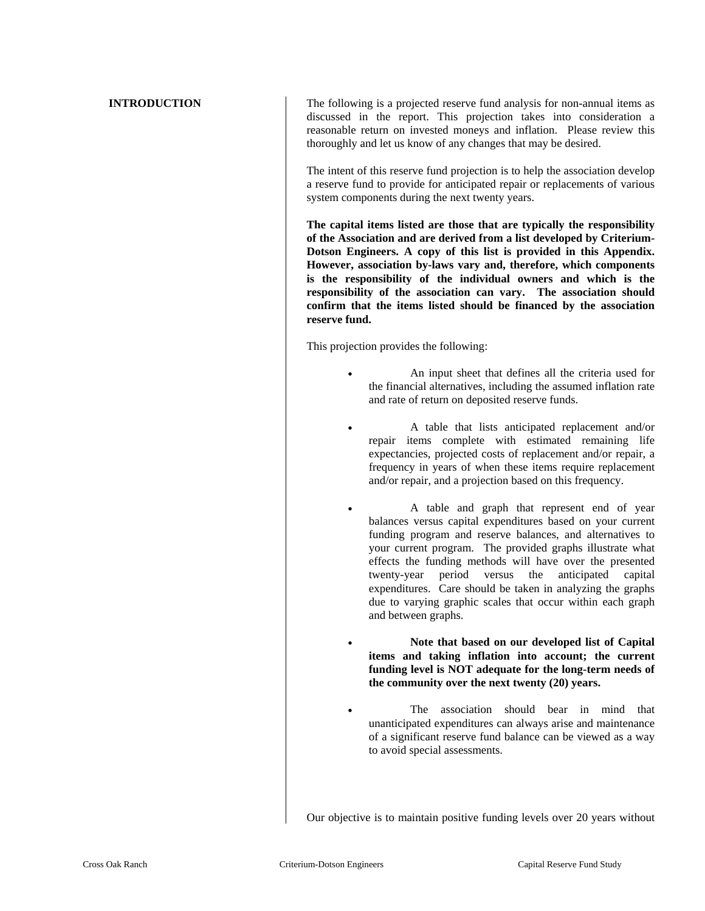**INTRODUCTION** The following is a projected reserve fund analysis for non-annual items as discussed in the report. This projection takes into consideration a reasonable return on invested moneys and inflation. Please review this thoroughly and let us know of any changes that may be desired.

> The intent of this reserve fund projection is to help the association develop a reserve fund to provide for anticipated repair or replacements of various system components during the next twenty years.

> **The capital items listed are those that are typically the responsibility of the Association and are derived from a list developed by Criterium-Dotson Engineers. A copy of this list is provided in this Appendix. However, association by-laws vary and, therefore, which components is the responsibility of the individual owners and which is the responsibility of the association can vary. The association should confirm that the items listed should be financed by the association reserve fund.**

This projection provides the following:

- An input sheet that defines all the criteria used for the financial alternatives, including the assumed inflation rate and rate of return on deposited reserve funds.
- A table that lists anticipated replacement and/or repair items complete with estimated remaining life expectancies, projected costs of replacement and/or repair, a frequency in years of when these items require replacement and/or repair, and a projection based on this frequency.
- A table and graph that represent end of year balances versus capital expenditures based on your current funding program and reserve balances, and alternatives to your current program. The provided graphs illustrate what effects the funding methods will have over the presented twenty-year period versus the anticipated capital expenditures. Care should be taken in analyzing the graphs due to varying graphic scales that occur within each graph and between graphs.
- **Note that based on our developed list of Capital items and taking inflation into account; the current funding level is NOT adequate for the long-term needs of the community over the next twenty (20) years.**
- The association should bear in mind that unanticipated expenditures can always arise and maintenance of a significant reserve fund balance can be viewed as a way to avoid special assessments.

Our objective is to maintain positive funding levels over 20 years without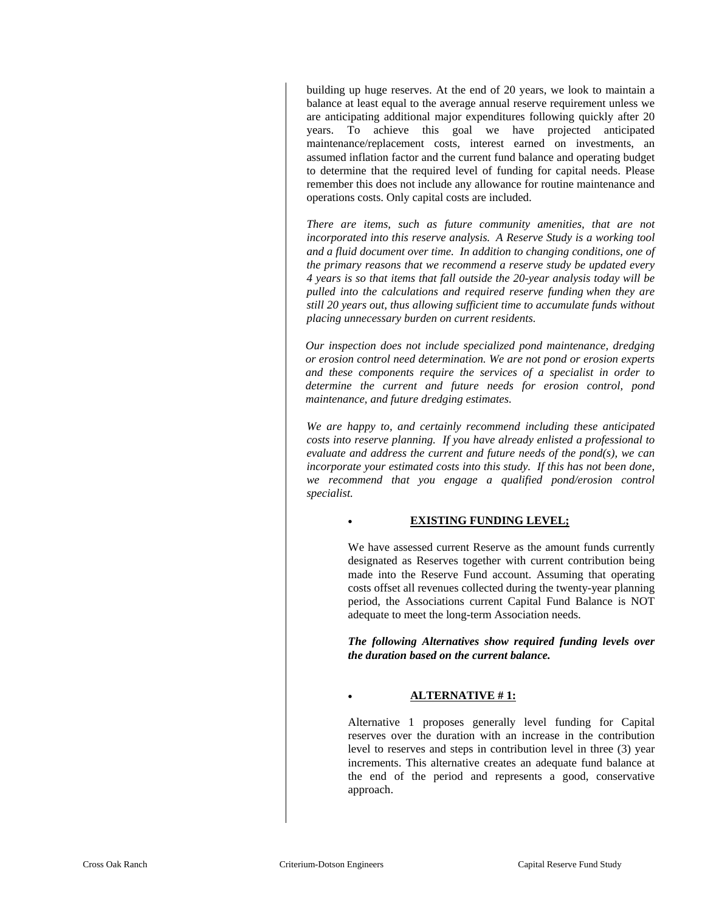building up huge reserves. At the end of 20 years, we look to maintain a balance at least equal to the average annual reserve requirement unless we are anticipating additional major expenditures following quickly after 20 years. To achieve this goal we have projected anticipated maintenance/replacement costs, interest earned on investments, an assumed inflation factor and the current fund balance and operating budget to determine that the required level of funding for capital needs. Please remember this does not include any allowance for routine maintenance and operations costs. Only capital costs are included.

*There are items, such as future community amenities, that are not incorporated into this reserve analysis. A Reserve Study is a working tool and a fluid document over time. In addition to changing conditions, one of the primary reasons that we recommend a reserve study be updated every 4 years is so that items that fall outside the 20-year analysis today will be pulled into the calculations and required reserve funding when they are still 20 years out, thus allowing sufficient time to accumulate funds without placing unnecessary burden on current residents.* 

*Our inspection does not include specialized pond maintenance, dredging or erosion control need determination. We are not pond or erosion experts and these components require the services of a specialist in order to determine the current and future needs for erosion control, pond maintenance, and future dredging estimates.* 

*We are happy to, and certainly recommend including these anticipated costs into reserve planning. If you have already enlisted a professional to evaluate and address the current and future needs of the pond(s), we can incorporate your estimated costs into this study. If this has not been done, we recommend that you engage a qualified pond/erosion control specialist.* 

### **EXISTING FUNDING LEVEL;**

We have assessed current Reserve as the amount funds currently designated as Reserves together with current contribution being made into the Reserve Fund account. Assuming that operating costs offset all revenues collected during the twenty-year planning period, the Associations current Capital Fund Balance is NOT adequate to meet the long-term Association needs.

*The following Alternatives show required funding levels over the duration based on the current balance.* 

### **ALTERNATIVE # 1:**

Alternative 1 proposes generally level funding for Capital reserves over the duration with an increase in the contribution level to reserves and steps in contribution level in three (3) year increments. This alternative creates an adequate fund balance at the end of the period and represents a good, conservative approach.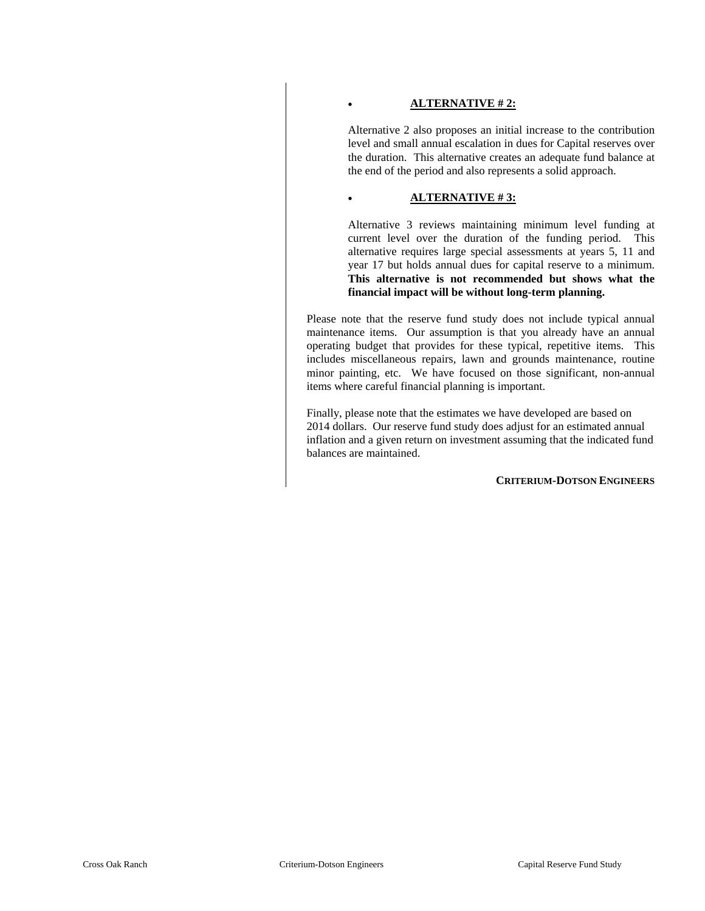### **ALTERNATIVE # 2:**

Alternative 2 also proposes an initial increase to the contribution level and small annual escalation in dues for Capital reserves over the duration. This alternative creates an adequate fund balance at the end of the period and also represents a solid approach.

### **ALTERNATIVE # 3:**

Alternative 3 reviews maintaining minimum level funding at current level over the duration of the funding period. This alternative requires large special assessments at years 5, 11 and year 17 but holds annual dues for capital reserve to a minimum. **This alternative is not recommended but shows what the financial impact will be without long-term planning.** 

Please note that the reserve fund study does not include typical annual maintenance items. Our assumption is that you already have an annual operating budget that provides for these typical, repetitive items. This includes miscellaneous repairs, lawn and grounds maintenance, routine minor painting, etc. We have focused on those significant, non-annual items where careful financial planning is important.

Finally, please note that the estimates we have developed are based on 2014 dollars. Our reserve fund study does adjust for an estimated annual inflation and a given return on investment assuming that the indicated fund balances are maintained.

**CRITERIUM-DOTSON ENGINEERS**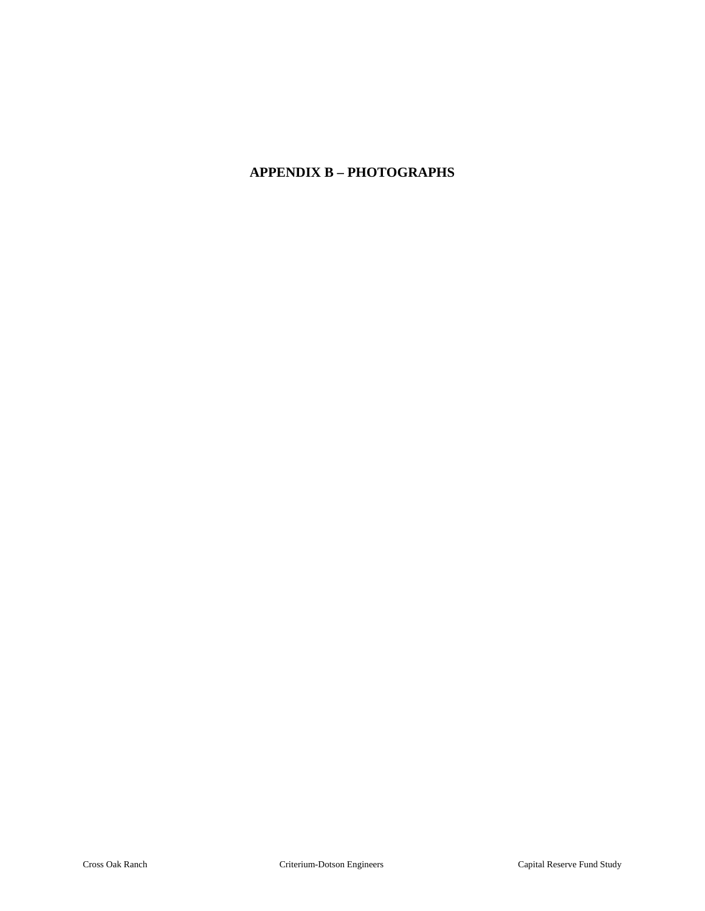## **APPENDIX B – PHOTOGRAPHS**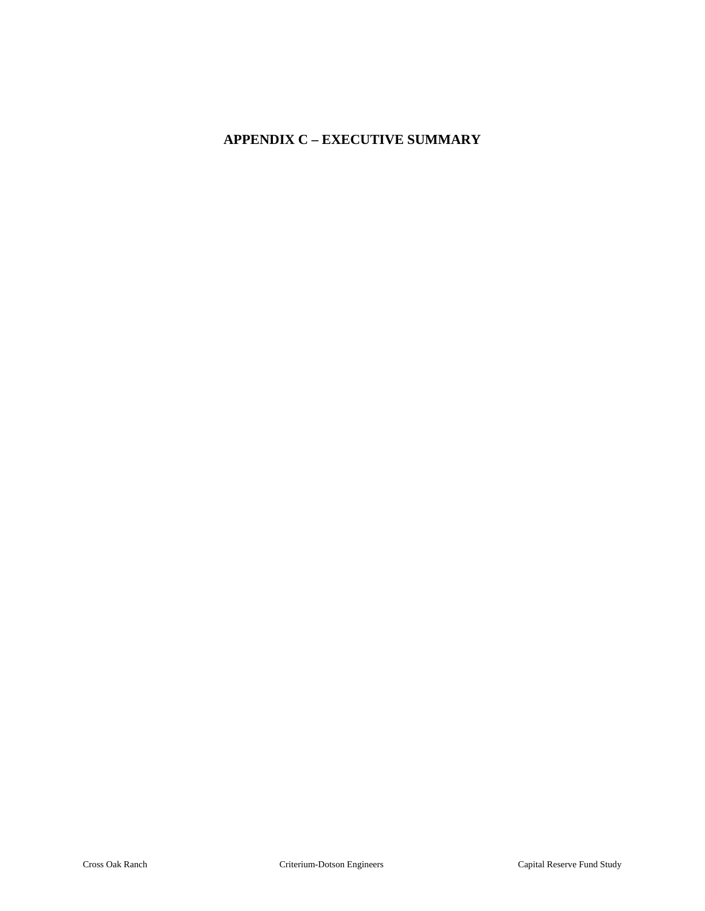# **APPENDIX C – EXECUTIVE SUMMARY**